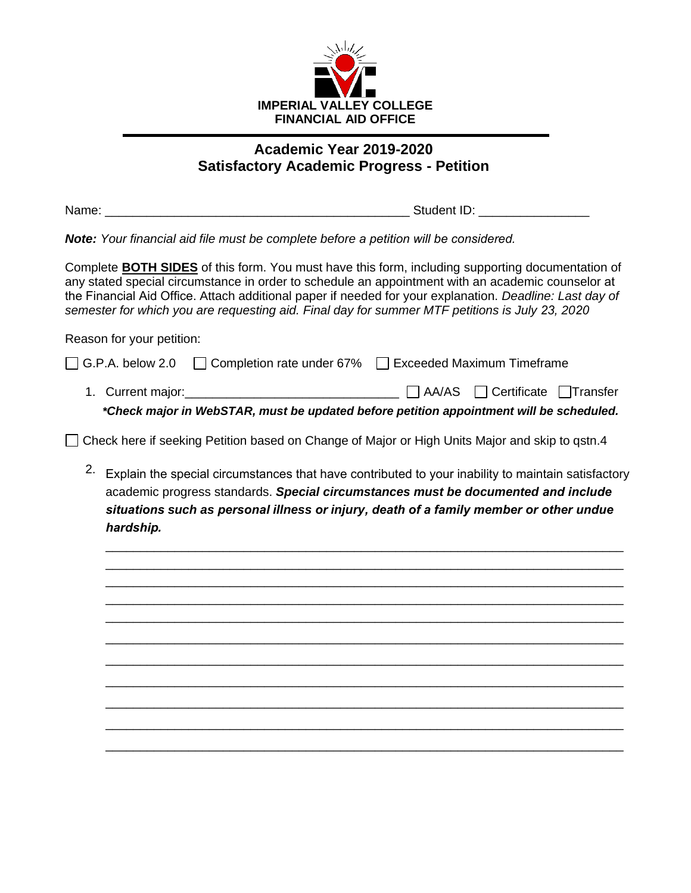

## **Academic Year 2019-2020 Satisfactory Academic Progress - Petition**

Name:  $\blacksquare$  Name:  $\blacksquare$ 

*Note: Your financial aid file must be complete before a petition will be considered.*

Complete **BOTH SIDES** of this form. You must have this form, including supporting documentation of any stated special circumstance in order to schedule an appointment with an academic counselor at the Financial Aid Office. Attach additional paper if needed for your explanation. *Deadline: Last day of semester for which you are requesting aid. Final day for summer MTF petitions is July 23, 2020*

Reason for your petition:

| *Check major in WebSTAR, must be updated before petition appointment will be scheduled. |                                                                             |  |                                                 |  |
|-----------------------------------------------------------------------------------------|-----------------------------------------------------------------------------|--|-------------------------------------------------|--|
|                                                                                         | 1. Current major: 1. 2008 1. 2009                                           |  | $\Box$ AA/AS $\Box$ Certificate $\Box$ Transfer |  |
|                                                                                         | □ G.P.A. below 2.0 □ Completion rate under 67% □ Exceeded Maximum Timeframe |  |                                                 |  |

□ Check here if seeking Petition based on Change of Major or High Units Major and skip to qstn.4

2. Explain the special circumstances that have contributed to your inability to maintain satisfactory academic progress standards. *Special circumstances must be documented and include situations such as personal illness or injury, death of a family member or other undue hardship.*